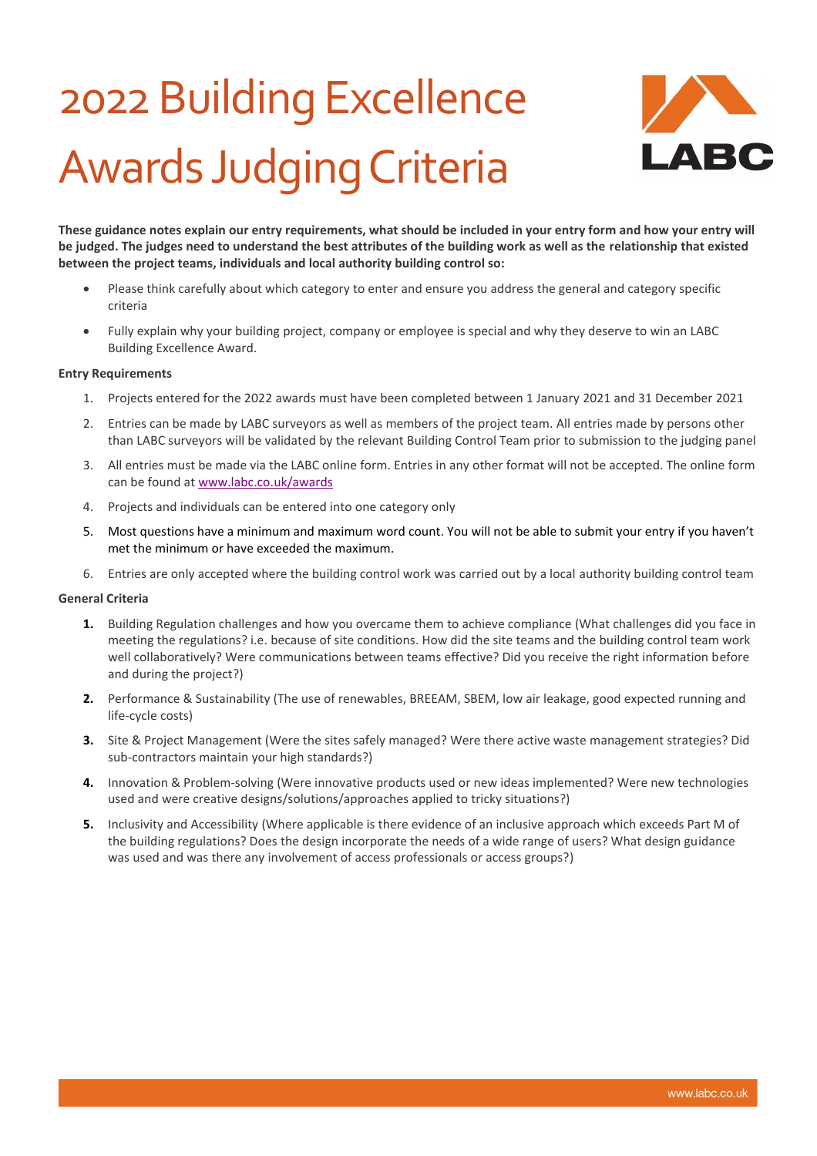## 2022Building Excellence Awards Judging Criteria



**These guidance notes explain our entry requirements, what should be included in your entry form and how your entry will be judged. The judges need to understand the best attributes of the building work as well as the relationship that existed between the project teams, individuals and local authority building control so:**

- Please think carefully about which category to enter and ensure you address the general and category specific criteria
- Fully explain why your building project, company or employee is special and why they deserve to win an LABC Building Excellence Award.

#### **Entry Requirements**

- 1. Projects entered for the 2022 awards must have been completed between 1 January 2021 and 31 December 2021
- 2. Entries can be made by LABC surveyors as well as members of the project team. All entries made by persons other than LABC surveyors will be validated by the relevant Building Control Team prior to submission to the judging panel
- 3. All entries must be made via the LABC online form. Entries in any other format will not be accepted. The online form can be found a[t www.labc.co.uk/awards](http://www.labc.co.uk/awards)
- 4. Projects and individuals can be entered into one category only
- 5. Most questions have a minimum and maximum word count. You will not be able to submit your entry if you haven't met the minimum or have exceeded the maximum.
- 6. Entries are only accepted where the building control work was carried out by a local authority building control team

#### **General Criteria**

- **1.** Building Regulation challenges and how you overcame them to achieve compliance (What challenges did you face in meeting the regulations? i.e. because of site conditions. How did the site teams and the building control team work well collaboratively? Were communications between teams effective? Did you receive the right information before and during the project?)
- **2.** Performance & Sustainability (The use of renewables, BREEAM, SBEM, low air leakage, good expected running and life-cycle costs)
- **3.** Site & Project Management (Were the sites safely managed? Were there active waste management strategies? Did sub-contractors maintain your high standards?)
- **4.** Innovation & Problem-solving (Were innovative products used or new ideas implemented? Were new technologies used and were creative designs/solutions/approaches applied to tricky situations?)
- **5.** Inclusivity and Accessibility (Where applicable is there evidence of an inclusive approach which exceeds Part M of the building regulations? Does the design incorporate the needs of a wide range of users? What design guidance was used and was there any involvement of access professionals or access groups?)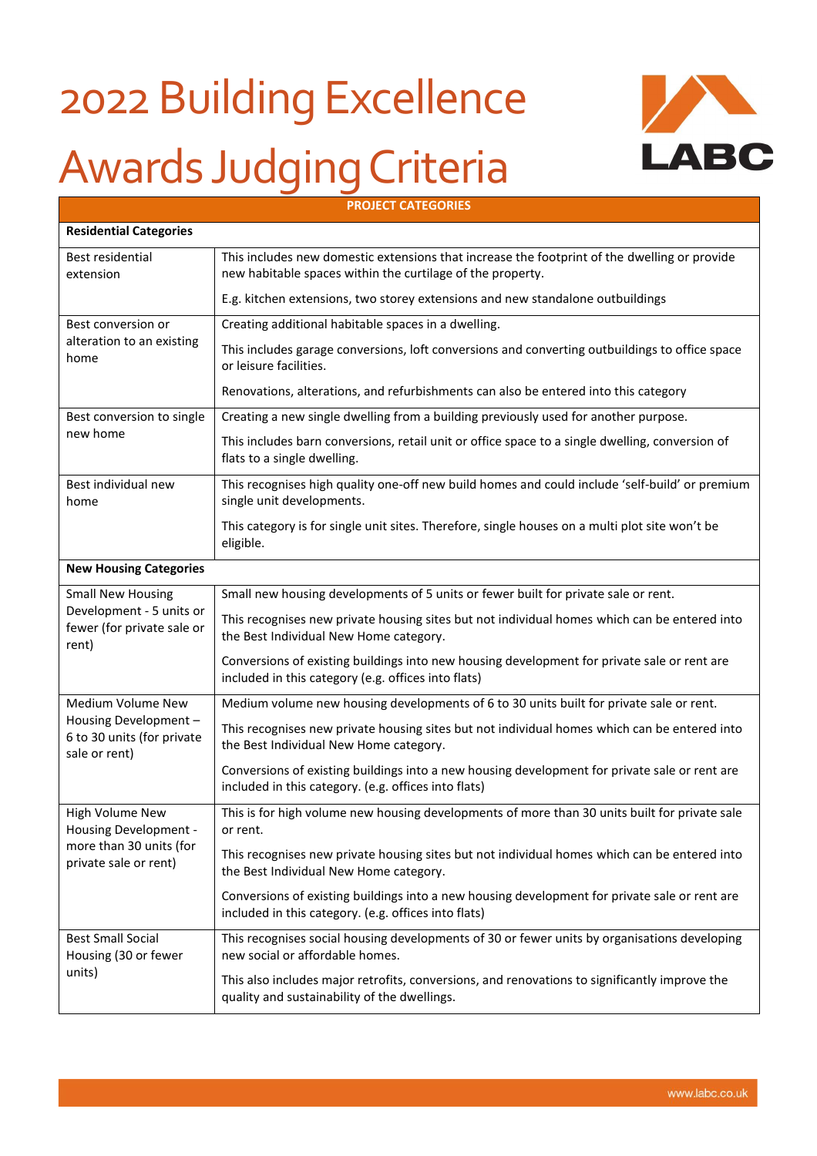# 2022 Building Excellence Awards Judging Criteria



| <b>PROJECT CATEGORIES</b>                                                                    |                                                                                                                                                            |  |
|----------------------------------------------------------------------------------------------|------------------------------------------------------------------------------------------------------------------------------------------------------------|--|
| <b>Residential Categories</b>                                                                |                                                                                                                                                            |  |
| Best residential<br>extension                                                                | This includes new domestic extensions that increase the footprint of the dwelling or provide<br>new habitable spaces within the curtilage of the property. |  |
|                                                                                              | E.g. kitchen extensions, two storey extensions and new standalone outbuildings                                                                             |  |
| Best conversion or                                                                           | Creating additional habitable spaces in a dwelling.                                                                                                        |  |
| alteration to an existing<br>home                                                            | This includes garage conversions, loft conversions and converting outbuildings to office space<br>or leisure facilities.                                   |  |
|                                                                                              | Renovations, alterations, and refurbishments can also be entered into this category                                                                        |  |
| Best conversion to single                                                                    | Creating a new single dwelling from a building previously used for another purpose.                                                                        |  |
| new home                                                                                     | This includes barn conversions, retail unit or office space to a single dwelling, conversion of<br>flats to a single dwelling.                             |  |
| Best individual new<br>home                                                                  | This recognises high quality one-off new build homes and could include 'self-build' or premium<br>single unit developments.                                |  |
|                                                                                              | This category is for single unit sites. Therefore, single houses on a multi plot site won't be<br>eligible.                                                |  |
| <b>New Housing Categories</b>                                                                |                                                                                                                                                            |  |
| <b>Small New Housing</b>                                                                     | Small new housing developments of 5 units or fewer built for private sale or rent.                                                                         |  |
| Development - 5 units or<br>fewer (for private sale or<br>rent)                              | This recognises new private housing sites but not individual homes which can be entered into<br>the Best Individual New Home category.                     |  |
|                                                                                              | Conversions of existing buildings into new housing development for private sale or rent are<br>included in this category (e.g. offices into flats)         |  |
| Medium Volume New                                                                            | Medium volume new housing developments of 6 to 30 units built for private sale or rent.                                                                    |  |
| Housing Development -<br>6 to 30 units (for private<br>sale or rent)                         | This recognises new private housing sites but not individual homes which can be entered into<br>the Best Individual New Home category.                     |  |
|                                                                                              | Conversions of existing buildings into a new housing development for private sale or rent are<br>included in this category. (e.g. offices into flats)      |  |
| High Volume New<br>Housing Development -<br>more than 30 units (for<br>private sale or rent) | This is for high volume new housing developments of more than 30 units built for private sale<br>or rent.                                                  |  |
|                                                                                              | This recognises new private housing sites but not individual homes which can be entered into<br>the Best Individual New Home category.                     |  |
|                                                                                              | Conversions of existing buildings into a new housing development for private sale or rent are<br>included in this category. (e.g. offices into flats)      |  |
| <b>Best Small Social</b><br>Housing (30 or fewer<br>units)                                   | This recognises social housing developments of 30 or fewer units by organisations developing<br>new social or affordable homes.                            |  |
|                                                                                              | This also includes major retrofits, conversions, and renovations to significantly improve the<br>quality and sustainability of the dwellings.              |  |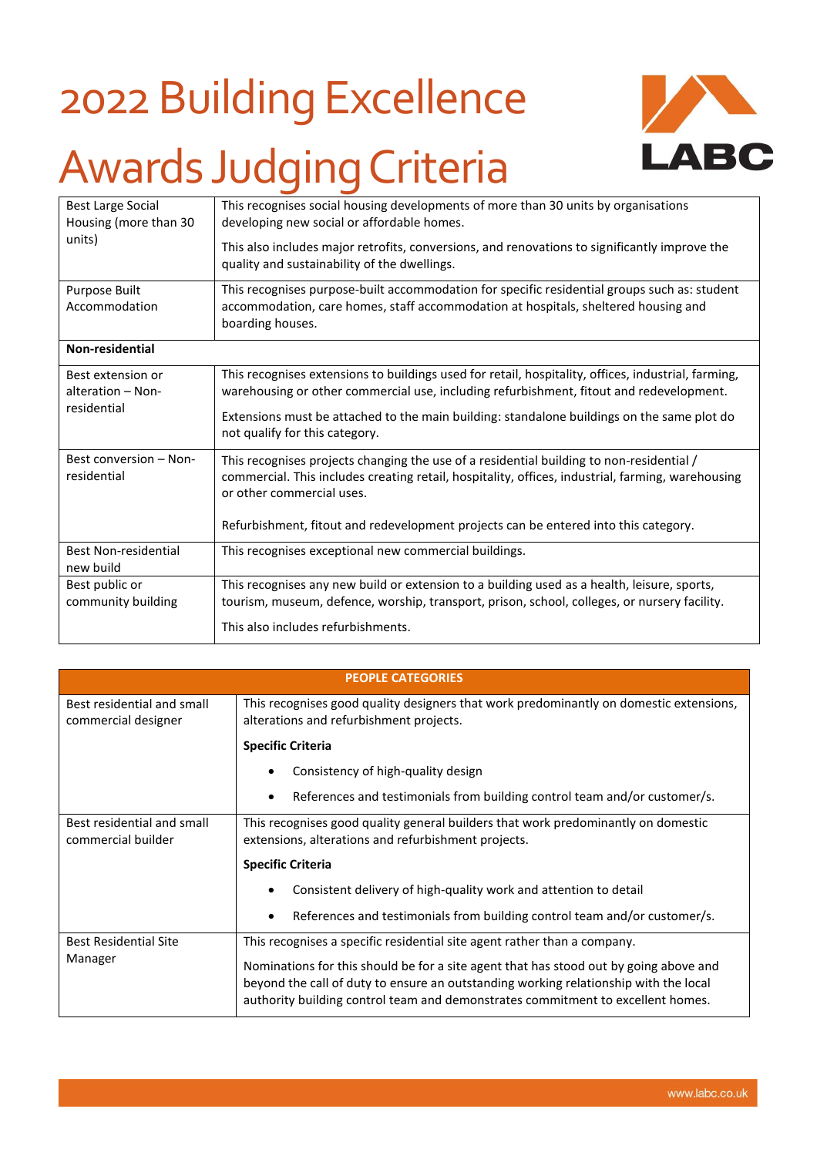### 2022 Building Excellence Awards Judging Criteria



| <b>Best Large Social</b><br>Housing (more than 30<br>units) | This recognises social housing developments of more than 30 units by organisations<br>developing new social or affordable homes.<br>This also includes major retrofits, conversions, and renovations to significantly improve the<br>quality and sustainability of the dwellings.                                              |
|-------------------------------------------------------------|--------------------------------------------------------------------------------------------------------------------------------------------------------------------------------------------------------------------------------------------------------------------------------------------------------------------------------|
| <b>Purpose Built</b><br>Accommodation                       | This recognises purpose-built accommodation for specific residential groups such as: student<br>accommodation, care homes, staff accommodation at hospitals, sheltered housing and<br>boarding houses.                                                                                                                         |
| Non-residential                                             |                                                                                                                                                                                                                                                                                                                                |
| Best extension or<br>alteration - Non-<br>residential       | This recognises extensions to buildings used for retail, hospitality, offices, industrial, farming,<br>warehousing or other commercial use, including refurbishment, fitout and redevelopment.<br>Extensions must be attached to the main building: standalone buildings on the same plot do<br>not qualify for this category. |
| Best conversion - Non-<br>residential                       | This recognises projects changing the use of a residential building to non-residential /<br>commercial. This includes creating retail, hospitality, offices, industrial, farming, warehousing<br>or other commercial uses.<br>Refurbishment, fitout and redevelopment projects can be entered into this category.              |
| <b>Best Non-residential</b><br>new build                    | This recognises exceptional new commercial buildings.                                                                                                                                                                                                                                                                          |
| Best public or<br>community building                        | This recognises any new build or extension to a building used as a health, leisure, sports,<br>tourism, museum, defence, worship, transport, prison, school, colleges, or nursery facility.<br>This also includes refurbishments.                                                                                              |

| <b>PEOPLE CATEGORIES</b>                          |                                                                                                                                                                                                                                                                  |  |
|---------------------------------------------------|------------------------------------------------------------------------------------------------------------------------------------------------------------------------------------------------------------------------------------------------------------------|--|
| Best residential and small<br>commercial designer | This recognises good quality designers that work predominantly on domestic extensions,<br>alterations and refurbishment projects.                                                                                                                                |  |
|                                                   | <b>Specific Criteria</b>                                                                                                                                                                                                                                         |  |
|                                                   | Consistency of high-quality design                                                                                                                                                                                                                               |  |
|                                                   | References and testimonials from building control team and/or customer/s.                                                                                                                                                                                        |  |
| Best residential and small<br>commercial builder  | This recognises good quality general builders that work predominantly on domestic<br>extensions, alterations and refurbishment projects.                                                                                                                         |  |
|                                                   | <b>Specific Criteria</b>                                                                                                                                                                                                                                         |  |
|                                                   | Consistent delivery of high-quality work and attention to detail                                                                                                                                                                                                 |  |
|                                                   | References and testimonials from building control team and/or customer/s.                                                                                                                                                                                        |  |
| <b>Best Residential Site</b><br>Manager           | This recognises a specific residential site agent rather than a company.                                                                                                                                                                                         |  |
|                                                   | Nominations for this should be for a site agent that has stood out by going above and<br>beyond the call of duty to ensure an outstanding working relationship with the local<br>authority building control team and demonstrates commitment to excellent homes. |  |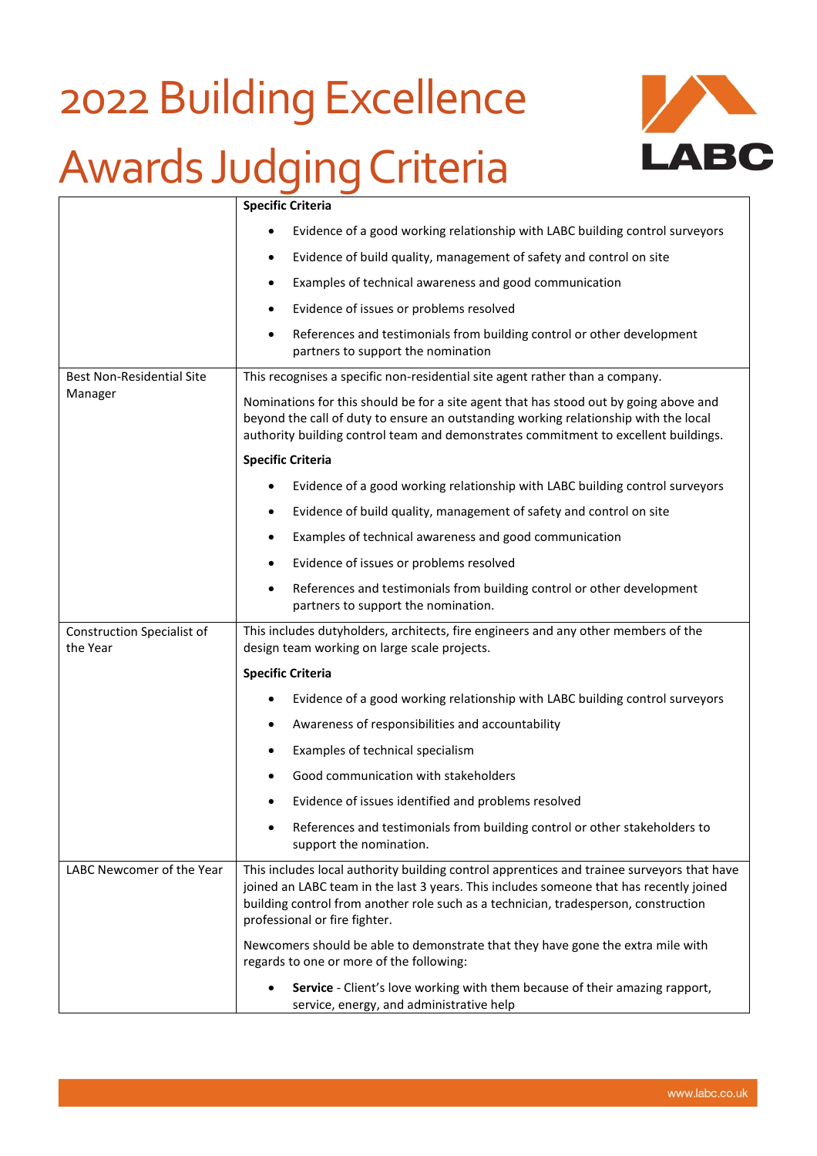# 2022 Building Excellence

### Awards Judging Criteria



|                                               | <b>Specific Criteria</b>                                                                                                                                                                                                                                                                                      |
|-----------------------------------------------|---------------------------------------------------------------------------------------------------------------------------------------------------------------------------------------------------------------------------------------------------------------------------------------------------------------|
|                                               | Evidence of a good working relationship with LABC building control surveyors                                                                                                                                                                                                                                  |
|                                               | Evidence of build quality, management of safety and control on site<br>٠                                                                                                                                                                                                                                      |
|                                               | Examples of technical awareness and good communication<br>٠                                                                                                                                                                                                                                                   |
|                                               | Evidence of issues or problems resolved<br>٠                                                                                                                                                                                                                                                                  |
|                                               | References and testimonials from building control or other development<br>٠<br>partners to support the nomination                                                                                                                                                                                             |
| <b>Best Non-Residential Site</b>              | This recognises a specific non-residential site agent rather than a company.                                                                                                                                                                                                                                  |
| Manager                                       | Nominations for this should be for a site agent that has stood out by going above and<br>beyond the call of duty to ensure an outstanding working relationship with the local<br>authority building control team and demonstrates commitment to excellent buildings.                                          |
|                                               | <b>Specific Criteria</b>                                                                                                                                                                                                                                                                                      |
|                                               | Evidence of a good working relationship with LABC building control surveyors                                                                                                                                                                                                                                  |
|                                               | Evidence of build quality, management of safety and control on site                                                                                                                                                                                                                                           |
|                                               | Examples of technical awareness and good communication<br>٠                                                                                                                                                                                                                                                   |
|                                               | Evidence of issues or problems resolved<br>٠                                                                                                                                                                                                                                                                  |
|                                               | References and testimonials from building control or other development<br>٠<br>partners to support the nomination.                                                                                                                                                                                            |
| <b>Construction Specialist of</b><br>the Year | This includes dutyholders, architects, fire engineers and any other members of the<br>design team working on large scale projects.                                                                                                                                                                            |
|                                               | <b>Specific Criteria</b>                                                                                                                                                                                                                                                                                      |
|                                               | Evidence of a good working relationship with LABC building control surveyors                                                                                                                                                                                                                                  |
|                                               | Awareness of responsibilities and accountability                                                                                                                                                                                                                                                              |
|                                               | Examples of technical specialism                                                                                                                                                                                                                                                                              |
|                                               | Good communication with stakeholders                                                                                                                                                                                                                                                                          |
|                                               | Evidence of issues identified and problems resolved                                                                                                                                                                                                                                                           |
|                                               | References and testimonials from building control or other stakeholders to<br>support the nomination.                                                                                                                                                                                                         |
| LABC Newcomer of the Year                     | This includes local authority building control apprentices and trainee surveyors that have<br>joined an LABC team in the last 3 years. This includes someone that has recently joined<br>building control from another role such as a technician, tradesperson, construction<br>professional or fire fighter. |
|                                               | Newcomers should be able to demonstrate that they have gone the extra mile with<br>regards to one or more of the following:                                                                                                                                                                                   |
|                                               | Service - Client's love working with them because of their amazing rapport,<br>service, energy, and administrative help                                                                                                                                                                                       |